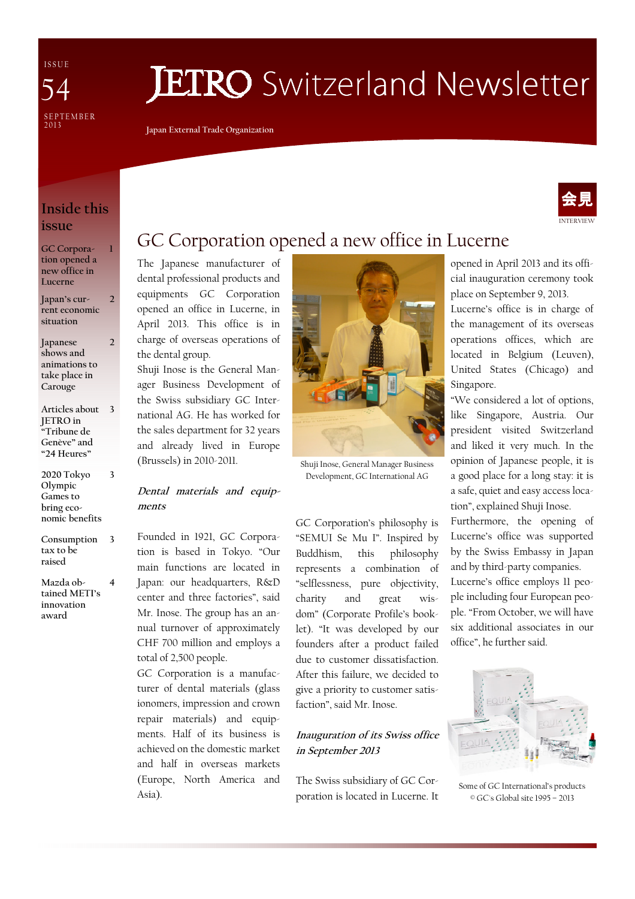I S S U E SE P T E M B E R<br>2013 54

# **JETRO** Switzerland Newsletter

Japan External Trade Organization

# Inside this issue

1

2

3

GC Corporation opened a new office in Lucerne

Japan's current economic situation 2

Japanese shows and animations to take place in Carouge

Articles about 3 JETRO in "Tribune de Genève" and "24 Heures"

2020 Tokyo Olympic Games to bring economic benefits

Consumption tax to be raised 3

Mazda obtained METI's innovation award 4

# GC Corporation opened a new office in Lucerne

The Japanese manufacturer of dental professional products and equipments GC Corporation opened an office in Lucerne, in April 2013. This office is in charge of overseas operations of the dental group.

Shuji Inose is the General Manager Business Development of the Swiss subsidiary GC International AG. He has worked for the sales department for 32 years and already lived in Europe (Brussels) in 2010-2011.

#### Dental materials and equipments

Founded in 1921, GC Corporation is based in Tokyo. "Our main functions are located in Japan: our headquarters, R&D center and three factories", said Mr. Inose. The group has an annual turnover of approximately CHF 700 million and employs a total of 2,500 people.

GC Corporation is a manufacturer of dental materials (glass ionomers, impression and crown repair materials) and equipments. Half of its business is achieved on the domestic market and half in overseas markets (Europe, North America and Asia).



Shuji Inose, General Manager Business Development, GC International AG

GC Corporation's philosophy is "SEMUI Se Mu I". Inspired by Buddhism, this philosophy represents a combination of "selflessness, pure objectivity, charity and great wisdom" (Corporate Profile's booklet). "It was developed by our founders after a product failed due to customer dissatisfaction. After this failure, we decided to give a priority to customer satisfaction", said Mr. Inose.

### Inauguration of its Swiss office in September 2013

The Swiss subsidiary of GC Corporation is located in Lucerne. It opened in April 2013 and its official inauguration ceremony took place on September 9, 2013.

Lucerne's office is in charge of the management of its overseas operations offices, which are located in Belgium (Leuven), United States (Chicago) and Singapore.

"We considered a lot of options, like Singapore, Austria. Our president visited Switzerland and liked it very much. In the opinion of Japanese people, it is a good place for a long stay: it is a safe, quiet and easy access location", explained Shuji Inose.

Furthermore, the opening of Lucerne's office was supported by the Swiss Embassy in Japan and by third-party companies.

Lucerne's office employs 11 people including four European people. "From October, we will have six additional associates in our office", he further said.



Some of GC International's products © GC's Global site 1995 – 2013

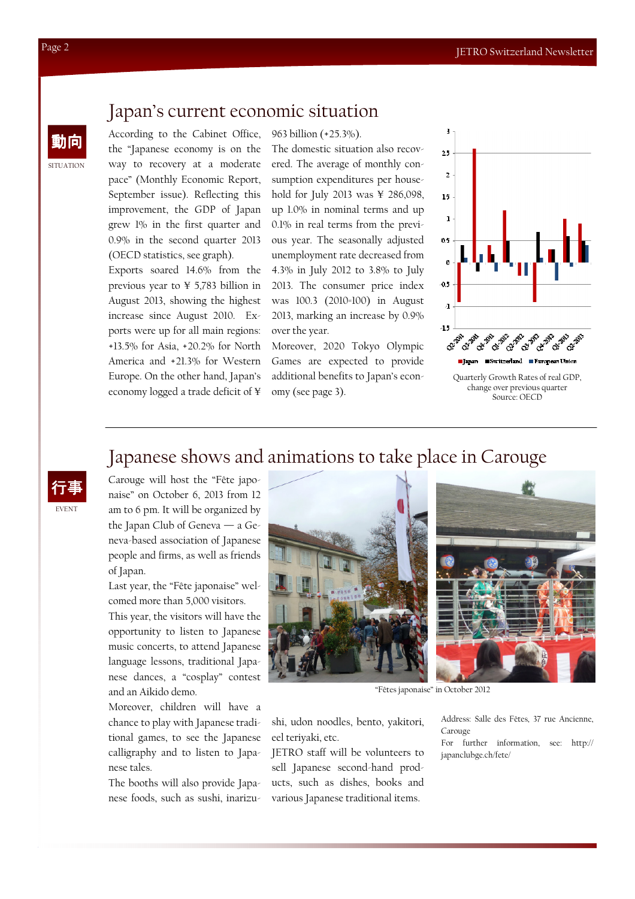## Japan's current economic situation

動向 According to the Cabinet Office, the "Japanese economy is on the way to recovery at a moderate pace" (Monthly Economic Report, September issue). Reflecting this improvement, the GDP of Japan grew 1% in the first quarter and 0.9% in the second quarter 2013 (OECD statistics, see graph).

> Exports soared 14.6% from the previous year to ¥ 5,783 billion in August 2013, showing the highest increase since August 2010. Exports were up for all main regions: +13.5% for Asia, +20.2% for North America and +21.3% for Western Europe. On the other hand, Japan's economy logged a trade deficit of ¥

963 billion (+25.3%).

The domestic situation also recovered. The average of monthly consumption expenditures per household for July 2013 was ¥ 286,098, up 1.0% in nominal terms and up 0.1% in real terms from the previous year. The seasonally adjusted unemployment rate decreased from 4.3% in July 2012 to 3.8% to July 2013. The consumer price index was 100.3 (2010=100) in August 2013, marking an increase by 0.9% over the year.

Moreover, 2020 Tokyo Olympic Games are expected to provide additional benefits to Japan's economy (see page 3).



change over previous quarter Source: OECD

# Japanese shows and animations to take place in Carouge

Carouge will host the "Fête japonaise" on October 6, 2013 from 12 am to 6 pm. It will be organized by the Japan Club of Geneva — a Geneva-based association of Japanese people and firms, as well as friends of Japan.

Last year, the "Fête japonaise" welcomed more than 5,000 visitors.

This year, the visitors will have the opportunity to listen to Japanese music concerts, to attend Japanese language lessons, traditional Japanese dances, a "cosplay" contest and an Aikido demo.

Moreover, children will have a chance to play with Japanese traditional games, to see the Japanese calligraphy and to listen to Japanese tales.

The booths will also provide Japanese foods, such as sushi, inarizu-



"Fêtes japonaise" in October 2012

shi, udon noodles, bento, yakitori, eel teriyaki, etc.

JETRO staff will be volunteers to sell Japanese second-hand products, such as dishes, books and various Japanese traditional items.

Address: Salle des Fêtes, 37 rue Ancienne, Carouge

For further information, see: http:// japanclubge.ch/fete/

SITUATION

EVENT 行事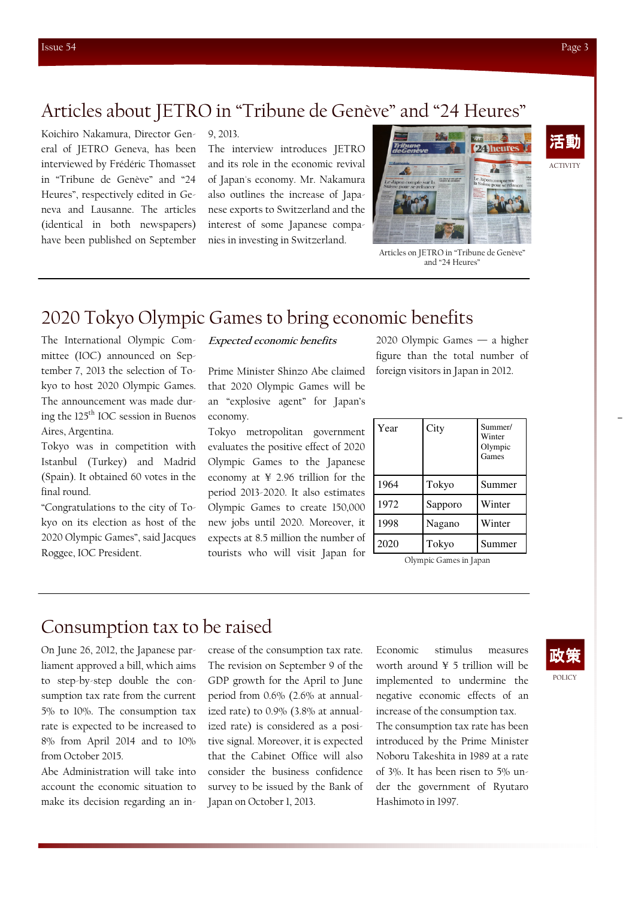ACTIVITY

活動

# Articles about JETRO in "Tribune de Genève" and "24 Heures"

Koichiro Nakamura, Director General of JETRO Geneva, has been interviewed by Frédéric Thomasset in "Tribune de Genève" and "24 Heures", respectively edited in Geneva and Lausanne. The articles (identical in both newspapers) have been published on September

9, 2013.

The interview introduces JETRO and its role in the economic revival of Japan's economy. Mr. Nakamura also outlines the increase of Japanese exports to Switzerland and the interest of some Japanese companies in investing in Switzerland.



Articles on JETRO in "Tribune de Genève" and "24 Heures"

# 2020 Tokyo Olympic Games to bring economic benefits

The International Olympic Committee (IOC) announced on September 7, 2013 the selection of Tokyo to host 2020 Olympic Games. The announcement was made during the 125th IOC session in Buenos Aires, Argentina.

Tokyo was in competition with Istanbul (Turkey) and Madrid (Spain). It obtained 60 votes in the final round.

"Congratulations to the city of Tokyo on its election as host of the 2020 Olympic Games", said Jacques Roggee, IOC President.

#### Expected economic benefits

Prime Minister Shinzo Abe claimed that 2020 Olympic Games will be an "explosive agent" for Japan's economy.

Tokyo metropolitan government evaluates the positive effect of 2020 Olympic Games to the Japanese economy at ¥ 2.96 trillion for the period 2013-2020. It also estimates Olympic Games to create 150,000 new jobs until 2020. Moreover, it expects at 8.5 million the number of tourists who will visit Japan for

2020 Olympic Games — a higher figure than the total number of foreign visitors in Japan in 2012.

| Year | City    | Summer/<br>Winter<br>Olympic<br>Games |
|------|---------|---------------------------------------|
| 1964 | Tokyo   | Summer                                |
| 1972 | Sapporo | Winter                                |
| 1998 | Nagano  | Winter                                |
| 2020 | Tokyo   | Summer                                |

Olympic Games in Japan

# Consumption tax to be raised

On June 26, 2012, the Japanese parliament approved a bill, which aims to step-by-step double the consumption tax rate from the current 5% to 10%. The consumption tax rate is expected to be increased to 8% from April 2014 and to 10% from October 2015.

Abe Administration will take into account the economic situation to make its decision regarding an increase of the consumption tax rate. The revision on September 9 of the GDP growth for the April to June period from 0.6% (2.6% at annualized rate) to 0.9% (3.8% at annualized rate) is considered as a positive signal. Moreover, it is expected that the Cabinet Office will also consider the business confidence survey to be issued by the Bank of Japan on October 1, 2013.

Economic stimulus measures worth around ¥ 5 trillion will be implemented to undermine the negative economic effects of an increase of the consumption tax. The consumption tax rate has been introduced by the Prime Minister Noboru Takeshita in 1989 at a rate of 3%. It has been risen to 5% under the government of Ryutaro Hashimoto in 1997.

## POLICY 政策